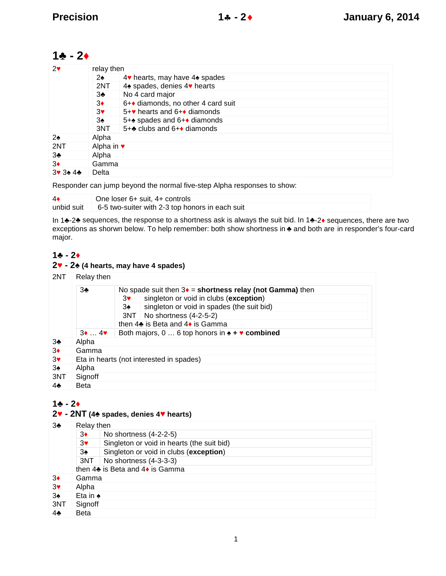## $1 - 2$

| 2   | relay then |                                   |  |  |
|-----|------------|-----------------------------------|--|--|
|     | 2          | 4 hearts, may have 4 spades       |  |  |
|     | 2NT        | 4 spades, denies 4 hearts         |  |  |
|     | 3          | No 4 card major                   |  |  |
|     | 3          | 6+ diamonds, no other 4 card suit |  |  |
|     | 3          | $5+$ hearts and $6+$ diamonds     |  |  |
|     | 3          | 5+ spades and 6+ diamonds         |  |  |
|     | 3NT        | $5+$ clubs and $6+$ diamonds      |  |  |
| 2   | Alpha      |                                   |  |  |
| 2NT | Alpha in   |                                   |  |  |
| 3   | Alpha      |                                   |  |  |
| 3   | Gamma      |                                   |  |  |
|     | Delta      |                                   |  |  |
|     |            |                                   |  |  |

Responder can jump beyond the normal five-step Alpha responses to show:

|            | One loser 6+ suit, 4+ controls                  |
|------------|-------------------------------------------------|
| unbid suit | 6-5 two-suiter with 2-3 top honors in each suit |

In 1 -2 sequences, the response to a shortness ask is always the suit bid. In 1 -2 sequences, there are two exceptions as shorwn below. To help remember: both show shortness in and both are in responder's four-card major.

## $1 - 2$

### **- 2 (4 hearts, may have 4 spades)**

| 2NT | Relay then   |                                                           |
|-----|--------------|-----------------------------------------------------------|
|     | 3            | No spade suit then $3 =$ shortness relay (not Gamma) then |
|     |              | singleton or void in clubs (exception)<br>3               |
|     |              | singleton or void in spades (the suit bid)<br>3           |
|     |              | 3NT No shortness (4-2-5-2)                                |
|     |              | then 4 is Beta and 4 is Gamma                             |
|     | $3 \ldots 4$ | Both majors, $0 \ldots 6$ top honors in $\div$ combined   |
| 3   | Alpha        |                                                           |
| 3   | Gamma        |                                                           |
| 3   |              | Eta in hearts (not interested in spades)                  |
| 3   | Alpha        |                                                           |
| 3NT | Signoff      |                                                           |
| 4   | <b>Beta</b>  |                                                           |

## $1 - 2$

## **- 2NT (4 spades, denies 4 hearts)**

| 3   | Relay then |                                            |  |
|-----|------------|--------------------------------------------|--|
|     | 3          | No shortness (4-2-2-5)                     |  |
|     | 3          | Singleton or void in hearts (the suit bid) |  |
|     | 3          | Singleton or void in clubs (exception)     |  |
|     | 3NT        | No shortness (4-3-3-3)                     |  |
|     |            | then 4 is Beta and 4 is Gamma              |  |
| 3   | Gamma      |                                            |  |
| 3   | Alpha      |                                            |  |
| 3   | Eta in     |                                            |  |
| 3NT | Signoff    |                                            |  |
|     | Beta       |                                            |  |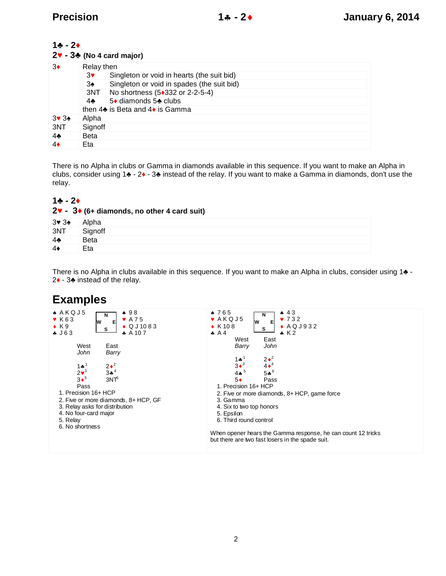#### $1 - 2$

#### **2 - 3 (No 4 card major)**

| 3              | Relay then  |                                            |  |
|----------------|-------------|--------------------------------------------|--|
|                | 3           | Singleton or void in hearts (the suit bid) |  |
|                | 3           | Singleton or void in spades (the suit bid) |  |
|                |             | 3NT   No shortness (5 332 or 2-2-5-4)      |  |
|                | 4           | 5 diamonds 5 clubs                         |  |
|                |             | then 4 is Beta and 4 is Gamma              |  |
| 3 3            | Alpha       |                                            |  |
| 3NT            | Signoff     |                                            |  |
| $\overline{4}$ | <b>Beta</b> |                                            |  |
| 4              | Eta         |                                            |  |

There is no Alpha in clubs or Gamma in diamonds available in this sequence. If you want to make an Alpha in clubs, consider using 1 - 2 - 3 instead of the relay. If you want to make a Gamma in diamonds, don't use the relay.

#### $1 - 2$

|                           | $2 - 3$ (6+ diamonds, no other 4 card suit) |
|---------------------------|---------------------------------------------|
| 3 <sub>3</sub>            | Alpha                                       |
| 3NT                       | Signoff                                     |
| $\boldsymbol{\varLambda}$ | <b>Beta</b>                                 |
|                           | Eta                                         |

There is no Alpha in clubs available in this sequence. If you want to make an Alpha in clubs, consider using 1 -2 - 3 instead of the relay.

# **Examples**